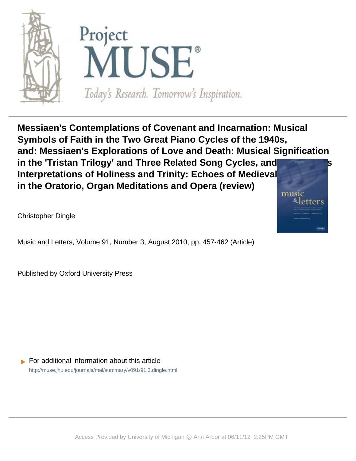



**Messiaen's Contemplations of Covenant and Incarnation: Musical Symbols of Faith in the Two Great Piano Cycles of the 1940s, and: Messiaen's Explorations of Love and Death: Musical Signification in the 'Tristan Trilogy' and Three Related Song Cycles, and Interpretations of Holiness and Trinity: Echoes of Medieval in the Oratorio, Organ Meditations and Opera (review)**

music

Christopher Dingle

Music and Letters, Volume 91, Number 3, August 2010, pp. 457-462 (Article)

Published by Oxford University Press

For additional information about this article <http://muse.jhu.edu/journals/mal/summary/v091/91.3.dingle.html>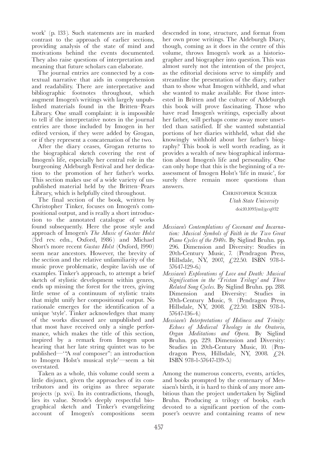work' (p. 133). Such statements are in marked contrast to the approach of earlier sections, providing analysis of the state of mind and motivations behind the events documented. They also raise questions of interpretation and meaning that future scholars can elaborate.

The journal entries are connected by a contextual narrative that aids in comprehension and readability. There are interpretative and bibliographic footnotes throughout, which augment Imogen's writings with largely unpublished materials found in the Britten^Pears Library. One small complaint: it is impossible to tell if the interpretative notes in the journal entries are those included by Imogen in her edited version, if they were added by Grogan, or if they represent a concatenation of the two.

After the diary ceases, Grogan returns to the biographical sketch covering the rest of Imogen's life, especially her central role in the burgeoning Aldeburgh Festival and her dedication to the promotion of her father's works. This section makes use of a wide variety of unpublished material held by the Britten^Pears Library, which is helpfully cited throughout.

The final section of the book, written by Christopher Tinker, focuses on Imogen's compositional output, and is really a short introduction to the annotated catalogue of works found subsequently. Here the prose style and approach of Imogen's The Music of Gustav Holst (3rd rev. edn., Oxford, 1986) and Michael Short's more recent *Gustav Holst* (Oxford, 1990) seem near ancestors. However, the brevity of the section and the relative unfamiliarity of the music prove problematic, despite lavish use of examples. Tinker's approach, to attempt a brief sketch of stylistic development within genres, ends up missing the forest for the trees, giving little sense of a continuum of stylistic traits that might unify her compositional output. No rationale emerges for the identification of a unique 'style'. Tinker acknowledges that many of the works discussed are unpublished and that most have received only a single performance, which makes the title of this section, inspired by a remark from Imogen upon hearing that her late string quintet was to be published—"A real composer": an introduction to Imogen Holst's musical style'—seem a bit overstated.

Taken as a whole, this volume could seem a little disjunct, given the approaches of its contributors and its origins as three separate projects (p. xvi). In its contradictions, though, lies its value. Strode's deeply respectful biographical sketch and Tinker's evangelizing account of Imogen's compositions seem

descended in tone, structure, and format from her own prose writings. The Aldeburgh Diary, though, coming as it does in the centre of this volume, throws Imogen's work as a historiographer and biographer into question. This was almost surely not the intention of the project, as the editorial decisions serve to simplify and streamline the presentation of the diary, rather than to show what Imogen withheld, and what she wanted to make available. For those interested in Britten and the culture of Aldeburgh this book will prove fascinating. Those who have read Imogen's writings, especially about her father, will perhaps come away more unsettled than satisfied. If she wanted substantial portions of her diaries withheld, what did she knowingly withhold about her father's biography? This book is well worth reading, as it provides a wealth of new biographical information about Imogen's life and personality. One can only hope that this is the beginning of a reassessment of Imogen Holst's 'life in music', for surely there remain more questions than answers.

> CHRISTOPHER SCHEER Utah State University doi:10.1093/ml/gcq032

- Messiaen's Contemplations of Covenant and Incarnation: Musical Symbols of Faith in the Two Great Piano Cycles of the 1940s. By Siglind Bruhn. pp. 296. Dimension and Diversity: Studies in 20th-Century Music, 7. (Pendragon Press, Hillsdale, NY, 2007,  $f(22.50.$  ISBN 978-1-57647-129-6.)
- Messiaen's Explorations of Love and Death: Musical Signification in the 'Tristan Trilogy' and Three Related Song Cycles. By Siglind Bruhn. pp. 288. Dimension and Diversity: Studies in 20th-Century Music, 9. (Pendragon Press, Hillsdale, NY, 2008. £22.50. ISBN 978-1-57647-136-4.)
- Messiaen's Interpretations of Holiness and Trinity: Echoes of Medieval Theology in the Oratorio, Organ Meditations and Opera. By Siglind Bruhn. pp. 229. Dimension and Diversity: Studies in 20th-Century Music, 10. (Pendragon Press, Hillsdale, NY, 2008.  $\mathcal{L}24$ . ISBN 978-1-57647-139-5.)

Among the numerous concerts, events, articles, and books prompted by the centenary of Messiaen's birth, it is hard to think of any more ambitious than the project undertaken by Siglind Bruhn. Producing a trilogy of books, each devoted to a significant portion of the composer's oeuvre and containing reams of new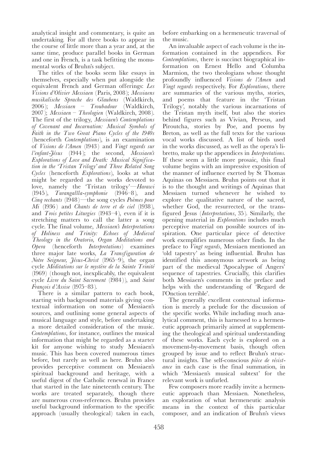analytical insight and commentary, is quite an undertaking. For all three books to appear in the course of little more than a year and, at the same time, produce parallel books in German and one in French, is a task befitting the monumental works of Bruhn's subject.

The titles of the books seem like essays in themselves, especially when put alongside the equivalent French and German offerings: Les Visions d'Olivier Messiaen (Paris, 2008); Messiaens musikalische Sprache des Glaubens (Waldkirch,  $2006$ ; Messiaen - Troubadour (Waldkirch,  $2007$ ); Messiaen - Theologien (Waldkirch, 2008). The first of the trilogy, Messiaen's Contemplations of Covenant and Incarnation: Musical Symbols of Faith in the Two Great Piano Cycles of the 1940s (henceforth Contemplations), is an examination of Visions de l'Amen (1943) and Vingt regards sur l'enfant-Jésus (1944); the second, Messiaen's Explorations of Love and Death: Musical Signification in the 'Tristan Trilogy' and Three Related Song Cycles (henceforth Explorations), looks at what might be regarded as the works devoted to love, namely the Tristan trilogy'-*Harawi*  $(1945)$ , Turangalîla-symphonie  $(1946-8)$ , and Cinq rechants  $(1948)$ —the song cycles Poèmes pour  $Mi$  (1936) and *Chants de terre et de ciel* (1938), and *Trois petites Liturgies*  $(1943-4)$ , even if it is stretching matters to call the latter a song cycle. The final volume, Messiaen's Interpretations of Holiness and Trinity: Echoes of Medieval Theology in the Oratorio, Organ Meditations and Opera (henceforth Interpretations) examines three major late works, La Transfiguration de Notre Seigneur, Jésus-Christ (1965-9), the organ cycle Méditations sur le mystère de la Sainte Trinité (1969) (though not, inexplicably, the equivalent cycle Livre du Saint Sacrement (1984)), and Saint François d'Assise (1975–83).

There is a similar pattern to each book, starting with background materials giving contextual information on some of Messiaen's sources, and outlining some general aspects of musical language and style, before undertaking a more detailed consideration of the music. Contemplations, for instance, outlines the musical information that might be regarded as a starter kit for anyone wishing to study Messiaen's music. This has been covered numerous times before, but rarely as well as here. Bruhn also provides perceptive comment on Messiaen's spiritual background and heritage, with a useful digest of the Catholic renewal in France that started in the late nineteenth century. The works are treated separately, though there are numerous cross-references. Bruhn provides useful background information to the specific approach (usually theological) taken in each,

before embarking on a hermeneutic traversal of the music.

An invaluable aspect of each volume is the information contained in the appendices. For Contemplations, there is succinct biographical information on Ernest Hello and Columba Marmion, the two theologians whose thought profoundly influenced Visions de l'Amen and Vingt regards respectively. For Explorations, there are summaries of the various myths, stories, and poems that feature in the 'Tristan Trilogy', notably the various incarnations of the Tristan myth itself, but also the stories behind figures such as Vivian, Perseus, and Piroutcha, stories by Poe, and poems by Breton, as well as the full texts for the various vocal works discussed. A list of birds used in the works discussed, as well as the opera's libretto, make up the appendices in Interpretations. If these seem a little more prosaic, this final volume begins with an impressive exposition of the manner of influence exerted by St Thomas Aquinas on Messiaen. Bruhn points out that it is to the thought and writings of Aquinas that Messiaen turned whenever he wished to explore the qualitative nature of the sacred, whether God, the resurrected, or the transfigured Jesus *(Interpretations, 35)*. Similarly, the opening material in Explorations includes much perceptive material on possible sources of inspiration. One particular piece of detective work exemplifies numerous other finds. In the preface to Vingt regards, Messiaen mentioned an 'old tapestry' as being influential. Bruhn has identified this anonymous artwork as being part of the medieval 'Apocalypse of Angers' sequence of tapestries. Crucially, this clarifies both Messiaen's comments in the preface and helps with the understanding of 'Regard de l'Onction terrible'.

The generally excellent contextual information is merely a prelude for the discussion of the specific works. While including much analytical comment, this is harnessed to a hermeneutic approach primarily aimed at supplementing the theological and spiritual understanding of these works. Each cycle is explored on a movement-by-movement basis, though often grouped by issue and to reflect Bruhn's structural insights. The self-conscious pièce de résistance in each case is the final summation, in which 'Messiaen's musical subtext' for the relevant work is unfurled.

Few composers more readily invite a hermeneutic approach than Messiaen. Nonetheless, an exploration of what hermeneutic analysis means in the context of this particular composer, and an indication of Bruhn's views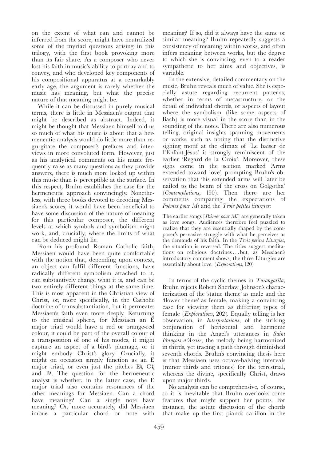on the extent of what can and cannot be inferred from the score, might have neutralized some of the myriad questions arising in this trilogy, with the first book provoking more than its fair share. As a composer who never lost his faith in music's ability to portray and to convey, and who developed key components of his compositional apparatus at a remarkably early age, the argument is rarely whether the music has meaning, but what the precise nature of that meaning might be.

While it can be discussed in purely musical terms, there is little in Messiaen's output that might be described as abstract. Indeed, it might be thought that Messiaen himself told us so much of what his music is about that a hermeneutic analysis would do little more than regurgitate the composer's prefaces and interviews in more convoluted form. However, just as his analytical comments on his music frequently raise as many questions as they provide answers, there is much more locked up within this music than is perceptible at the surface. In this respect, Bruhn establishes the case for the hermeneutic approach convincingly. Nonetheless, with three books devoted to decoding Messiaen's scores, it would have been beneficial to have some discussion of the nature of meaning for this particular composer, the different levels at which symbols and symbolism might work, and, crucially, where the limits of what can be deduced might lie.

From his profound Roman Catholic faith, Messiaen would have been quite comfortable with the notion that, depending upon context, an object can fulfil different functions, have radically different symbolism attached to it, can substantively change what it is, and can be two entirely different things at the same time. This is most apparent in the Christian view of Christ, or, more specifically, in the Catholic doctrine of transubstantiation, but it permeates Messiaen's faith even more deeply. Returning to the musical sphere, for Messiaen an E major triad would have a red or orange-red colour, it could be part of the overall colour of a transposition of one of his modes, it might capture an aspect of a bird's plumage, or it might embody Christ's glory. Crucially, it might on occasion simply function as an E might on occasion simply function as an E<br>major triad, or even just the pitches E<sup>t</sup>, G<sup>#</sup>, and B<sup>n</sup> . The question for the hermeneutic analyst is whether, in the latter case, the E major triad also contains resonances of the other meanings for Messiaen. Can a chord have meaning? Can a single note have meaning? Or, more accurately, did Messiaen imbue a particular chord or note with

meaning? If so, did it always have the same or similar meaning? Bruhn repeatedly suggests a consistency of meaning within works, and often infers meaning between works, but the degree to which she is convincing, even to a reader sympathetic to her aims and objectives, is variable.

In the extensive, detailed commentary on the music, Bruhn reveals much of value. She is especially astute regarding recurrent patterns, whether in terms of metastructure, or the detail of individual chords, or aspects of layout where the symbolism (like some aspects of Bach) is more visual in the score than in the sounding of the notes. There are also numerous telling, original insights spanning movements or works, such as noting that the distinctive sighing motif at the climax of 'Le baiser de l'Enfant-Jésus' is strongly reminiscent of the earlier 'Regard de la Croix'. Moreover, these sighs come in the section marked 'Arms extended toward love', prompting Bruhn's observation that 'his extended arms will later be nailed to the beam of the cross on Golgotha' (Contemplations, 190). Then there are her comments comparing the expectations of Poèmes pour Mi and the Trois petites liturgies:

The earlier songs  $[Po\`{e}mes\; pour\; Mi]$  are generally taken as love songs. Audiences therefore feel puzzled to realize that they are essentially shaped by the composer's pervasive struggle with what he perceives as the demands of his faith. In the Trois petites Liturgies, the situation is reversed. The titles suggest meditations on religious doctrines ...but, as Messiaen's introductory comment shows, the three Liturgies are essentially about love. (*Explorations*, 120)

In terms of the cyclic themes in  $T$ urangalîla, Bruhn rejects Robert Sherlaw Johnson's characterization of the 'statue theme' as male and the 'flower theme' as female, making a convincing case for viewing them as differing types of female (Explorations, 202). Equally telling is her observation, in Interpretations, of the striking conjunction of horizontal and harmonic thinking in the Angel's utterances in Saint François d'Assise, the melody being harmonized in thirds, yet tracing a path through diminished seventh chords. Bruhn's convincing thesis here is that Messiaen uses octave-halving intervals (minor thirds and tritones) for the terrestrial, whereas the divine, specifically Christ, draws upon major thirds.

No analysis can be comprehensive, of course, so it is inevitable that Bruhn overlooks some features that might support her points. For instance, the astute discussion of the chords that make up the first piano's carillon in the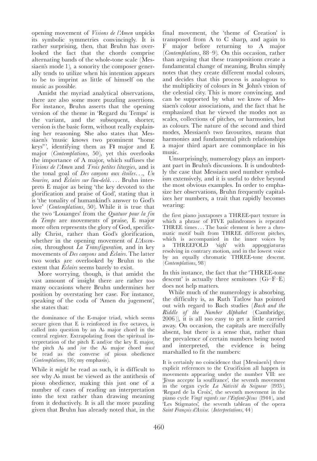opening movement of Visions de l'Amen unpicks its symbolic symmetries convincingly. It is rather surprising, then, that Bruhn has overlooked the fact that the chords comprise alternating bands of the whole-tone scale (Messiaen's mode 1), a sonority the composer generally tends to utilize when his intention appears to be to imprint as little of himself on the music as possible.

Amidst the myriad analytical observations, there are also some more puzzling assertions. For instance, Bruhn asserts that the opening version of the theme in 'Regard du Temps' is the variant, and the subsequent, shorter, version is the basic form, without really explaining her reasoning. She also states that Messiaen's 'music knows two prominent ''home keys''', identifying them as F# major and E major (Contemplations, 50), yet this overlooks the importance of A major, which suffuses the Visions de l'Amen and Trois petites liturgies, and is the tonal goal of Des canyons aux étoiles..., Un Sourire, and Eclairs sur l'au-delà.... Bruhn interprets E major as being 'the key devoted to the glorification and praise of God', stating that it is 'the tonality of humankind's answer to God's love' (Contemplations, 50). While it is true that the two 'Louanges' from the Quatuor pour la fin du Temps are movements of praise, E major more often represents the glory of God, specifically Christ, rather than God's glorification, whether in the opening movement of L'Ascension, throughout La Transfiguration, and in key movements of Des canyons and Éclairs. The latter two works are overlooked by Bruhn to the extent that  $\hat{E}$ *clairs* seems barely to exist.

More worrying, though, is that amidst the vast amount of insight there are rather too many occasions where Bruhn undermines her position by overstating her case. For instance, speaking of the coda of 'Amen du jugement', she states that:

the dominance of the E-major triad, which seems secure given that E is reinforced in five octaves, is called into question by an Ab major chord in the central register. Extrapolating from the spiritual interpretation of the pitch E and/or the key E major, the pitch  $\mathbf{A}$  and /or the  $\mathbf{A}$  major chord *must* be read as the converse of pious obedience (Contemplations, 116; my emphasis).

While it *might* be read as such, it is difficult to see why Ab must be viewed as the antithesis of pious obedience, making this just one of a number of cases of reading an interpretation into the text rather than drawing meaning from it deductively. It is all the more puzzling given that Bruhn has already noted that, in the

final movement, the 'theme of Creation' is transposed from A to C sharp, and again to F major before returning to A major (Contemplations, 88-9). On this occasion, rather than arguing that these transpositions create a fundamental change of meaning, Bruhn simply notes that they create different modal colours, and decides that this process is analogous to the multiplicity of colours in St John's vision of the celestial city. This is more convincing, and can be supported by what we know of Messiaen's colour associations, and the fact that he emphasized that he viewed the modes not as scales, collections of pitches, or harmonies, but as colours. The nature of the second and third modes, Messiaen's two favourites, means that harmonies and fundamental pitch relationships a major third apart are commonplace in his music.

Unsurprisingly, numerology plays an important part in Bruhn's discussions. It is undoubtedly the case that Messiaen used number symbolism extensively, and it is useful to delve beyond the most obvious examples. In order to emphasize her observations, Bruhn frequently capitalizes her numbers, a trait that rapidly becomes wearing:

the first piano juxtaposes a THREE-part texture in which a phrase of FIVE palindromes is repeated THREE times ... The basic element is here a chromatic motif built from THREE different pitches, which is accompanied in the inner voices by THREEFOLD 'sigh' with appoggiaturas resolving in contrary motion, and in the lowest voice by an equally chromatic THREE-tone descent. (Contemplations, 98)

In this instance, the fact that the 'THREE-tone descent' is actually three semitones  $(G_F-F-E)$ does not help matters.

While much of the numerology is absorbing, the difficulty is, as Ruth Tatlow has pointed out with regard to Bach studies (Bach and the Riddle of the Number Alphabet (Cambridge, 2006 )), it is all too easy to get a little carried away. On occasion, the capitals are mercifully absent, but there is a sense that, rather than the prevalence of certain numbers being noted and interpreted, the evidence is being marshalled to fit the numbers:

It is certainly no coincidence that [Messiaen's] three explicit references to the Crucifixion all happen in movements appearing under the number VII: see Jésus accepte la souffrance', the seventh movement in the organ cycle La Nativité du Seigneur (1935), 'Regard de la Croix', the seventh movement in the piano cycle Vingt regards sur l'Enfant-Jésus (1944), and 'Les Stigmates', the seventh tableau of the opera Saint François d'Assise. (Interpretations, 44)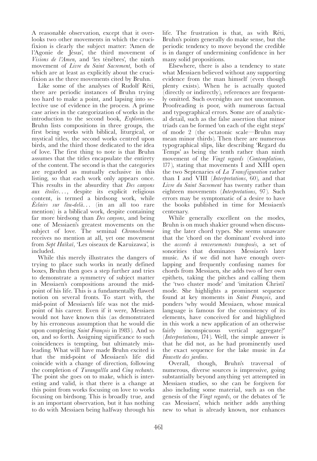A reasonable observation, except that it overlooks two other movements in which the crucifixion is clearly the subject matter: 'Amen de l'Agonie de Jésus', the third movement of *Visions de l'Amen*, and 'les ténèbres', the ninth movement of *Livre du Saint Sacrement*, both of which are at least as explicitly about the crucifixion as the three movements cited by Bruhn.

Like some of the analyses of Rudolf Réti, there are periodic instances of Bruhn trying too hard to make a point, and lapsing into selective use of evidence in the process. A prime case arises in the categorization of works in the introduction to the second book, *Explorations*. Bruhn lists compositions in three groups, the first being works with biblical, liturgical, or mystical titles, the second works centred upon birds, and the third those dedicated to the idea of love. The first thing to note is that Bruhn assumes that the titles encapsulate the entirety of the content. The second is that the categories are regarded as mutually exclusive in this listing, so that each work only appears once. This results in the absurdity that Des canyons aux étoiles..., despite its explicit religious content, is termed a birdsong work, while  $\dot{E}$ clairs sur l'au-delà... (in an all too rare mention) is a biblical work, despite containing far more birdsong than *Des canyons*, and being one of Messiaen's greatest movements on the subject of love. The seminal Chronochromie receives no mention at all, yet one movement from Sept Haïkaï, 'Les oiseaux de Karuizawa', is included.

While this merely illustrates the dangers of trying to place such works in neatly defined boxes, Bruhn then goes a step further and tries to demonstrate a symmetry of subject matter in Messiaen's compositions around the midpoint of his life. This is a fundamentally flawed notion on several fronts. To start with, the mid-point of Messiaen's life was not the midpoint of his career. Even if it were, Messiaen would not have known this (as demonstrated by his erroneous assumption that he would die upon completing Saint François in 1983). And so on, and so forth. Assigning significance to such coincidences is tempting, but ultimately misleading. What will have made Bruhn excited is that the mid-point of Messiaen's life did coincide with a change of direction, following the completion of *Turangalila* and *Cinq rechants*. The point she goes on to make, which is interesting and valid, is that there is a change at this point from works focusing on love to works focusing on birdsong. This is broadly true, and is an important observation, but it has nothing to do with Messiaen being halfway through his life. The frustration is that, as with Réti, Bruhn's points generally do make sense, but the periodic tendency to move beyond the credible is in danger of undermining confidence in her many solid propositions.

Elsewhere, there is also a tendency to state what Messiaen believed without any supporting evidence from the man himself (even though plenty exists). When he is actually quoted (directly or indirectly), references are frequently omitted. Such oversights are not uncommon. Proofreading is poor, with numerous factual and typographical errors. Some are of analytical detail, such as the false assertion that minor triads can be formed 'on each of the eight steps' of mode 2 (the octatonic scale—Bruhn may mean minor thirds). Then there are numerous typographical slips, like describing 'Regard du Temps' as being the tenth rather than ninth movement of the Vingt regards (Contemplations, 177), stating that movements I and XIII open the two Septenaries of La Transfiguration rather than I and VIII (*Interpretations*, 60), and that Livre du Saint Sacrement has twenty rather than eighteen movements (Interpretations, 97). Such errors may be symptomatic of a desire to have the books published in time for Messiaen's centenary.

While generally excellent on the modes, Bruhn is on much shakier ground when discussing the later chord types. She seems unaware that the 'chord on the dominant' evolved into the accords à renversements transposés, a set of sonorities that dominates Messiaen's later music. As if we did not have enough overlapping and frequently confusing names for chords from Messiaen, she adds two of her own epithets, taking the pitches and calling them the 'two cluster mode' and 'imitation Christi' mode. She highlights a prominent sequence found at key moments in Saint François, and ponders 'why would Messiaen, whose musical language is famous for the consistency of its elements, have conceived for and highlighted in this work a new application of an otherwise fairly inconspicuous vertical aggregate?' (Interpretations, 174). Well, the simple answer is that he did not, as he had prominently used the exact sequence for the lake music in La Fauvette des jardins.

Overall, though, Bruhn's traversal of numerous, diverse sources is impressive, going substantially beyond anything yet attempted in Messiaen studies, so she can be forgiven for also including some material, such as on the genesis of the Vingt regards, or the debates of 'le cas Messiaen', which neither adds anything new to what is already known, nor enhances